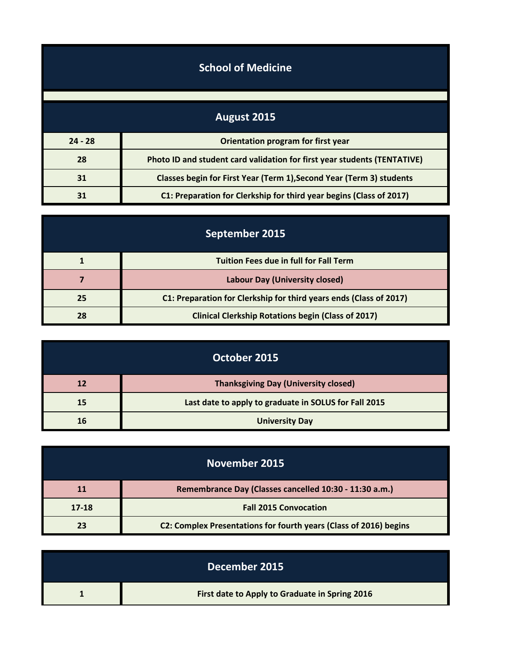| <b>School of Medicine</b> |                                                                          |
|---------------------------|--------------------------------------------------------------------------|
|                           |                                                                          |
|                           | August 2015                                                              |
| $24 - 28$                 | Orientation program for first year                                       |
| 28                        | Photo ID and student card validation for first year students (TENTATIVE) |
| 31                        | Classes begin for First Year (Term 1), Second Year (Term 3) students     |
| 31                        | C1: Preparation for Clerkship for third year begins (Class of 2017)      |

| September 2015 |                                                                    |
|----------------|--------------------------------------------------------------------|
|                | <b>Tuition Fees due in full for Fall Term</b>                      |
|                | <b>Labour Day (University closed)</b>                              |
| 25             | C1: Preparation for Clerkship for third years ends (Class of 2017) |
| 28             | <b>Clinical Clerkship Rotations begin (Class of 2017)</b>          |

| October 2015 |                                                       |
|--------------|-------------------------------------------------------|
| 12           | <b>Thanksgiving Day (University closed)</b>           |
| 15           | Last date to apply to graduate in SOLUS for Fall 2015 |
| 16           | <b>University Day</b>                                 |

| November 2015 |                                                                   |
|---------------|-------------------------------------------------------------------|
| <b>11</b>     | Remembrance Day (Classes cancelled 10:30 - 11:30 a.m.)            |
| 17-18         | <b>Fall 2015 Convocation</b>                                      |
| 23            | C2: Complex Presentations for fourth years (Class of 2016) begins |

| December 2015                                  |
|------------------------------------------------|
| First date to Apply to Graduate in Spring 2016 |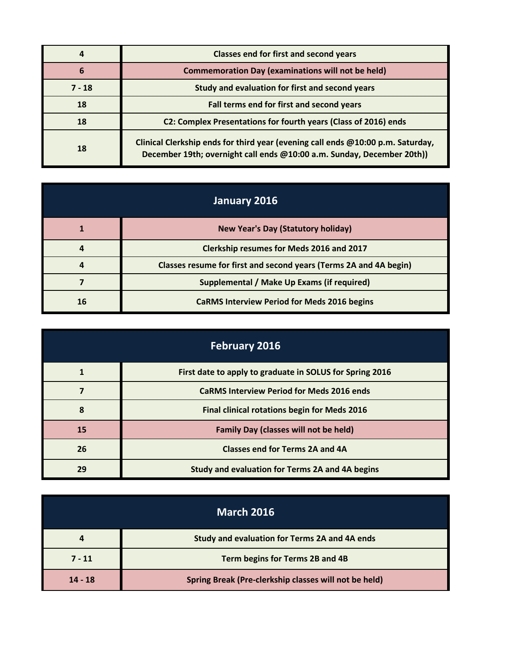|          | <b>Classes end for first and second years</b>                                                                                                             |
|----------|-----------------------------------------------------------------------------------------------------------------------------------------------------------|
| 6        | <b>Commemoration Day (examinations will not be held)</b>                                                                                                  |
| $7 - 18$ | Study and evaluation for first and second years                                                                                                           |
| 18       | Fall terms end for first and second years                                                                                                                 |
| 18       | C2: Complex Presentations for fourth years (Class of 2016) ends                                                                                           |
| 18       | Clinical Clerkship ends for third year (evening call ends @10:00 p.m. Saturday,<br>December 19th; overnight call ends @10:00 a.m. Sunday, December 20th)) |

| January 2016 |                                                                   |
|--------------|-------------------------------------------------------------------|
|              | <b>New Year's Day (Statutory holiday)</b>                         |
|              | <b>Clerkship resumes for Meds 2016 and 2017</b>                   |
|              | Classes resume for first and second years (Terms 2A and 4A begin) |
|              | Supplemental / Make Up Exams (if required)                        |
| 16           | <b>CaRMS Interview Period for Meds 2016 begins</b>                |

| <b>February 2016</b> |                                                          |
|----------------------|----------------------------------------------------------|
|                      | First date to apply to graduate in SOLUS for Spring 2016 |
|                      | <b>CaRMS Interview Period for Meds 2016 ends</b>         |
| 8                    | <b>Final clinical rotations begin for Meds 2016</b>      |
| 15                   | <b>Family Day (classes will not be held)</b>             |
| 26                   | <b>Classes end for Terms 2A and 4A</b>                   |
| 29                   | Study and evaluation for Terms 2A and 4A begins          |

| <b>March 2016</b> |                                                       |
|-------------------|-------------------------------------------------------|
| 4                 | Study and evaluation for Terms 2A and 4A ends         |
| $7 - 11$          | Term begins for Terms 2B and 4B                       |
| $14 - 18$         | Spring Break (Pre-clerkship classes will not be held) |